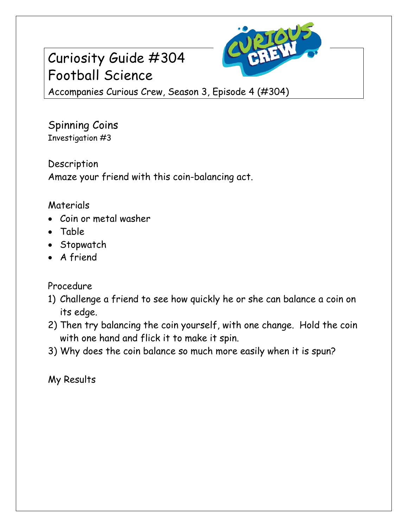## Curiosity Guide #304 Football Science



Accompanies Curious Crew, Season 3, Episode 4 (#304)

Spinning Coins Investigation #3

Description Amaze your friend with this coin-balancing act.

## Materials

- Coin or metal washer
- Table
- Stopwatch
- A friend

## Procedure

- 1) Challenge a friend to see how quickly he or she can balance a coin on its edge.
- 2) Then try balancing the coin yourself, with one change. Hold the coin with one hand and flick it to make it spin.
- 3) Why does the coin balance so much more easily when it is spun?

My Results